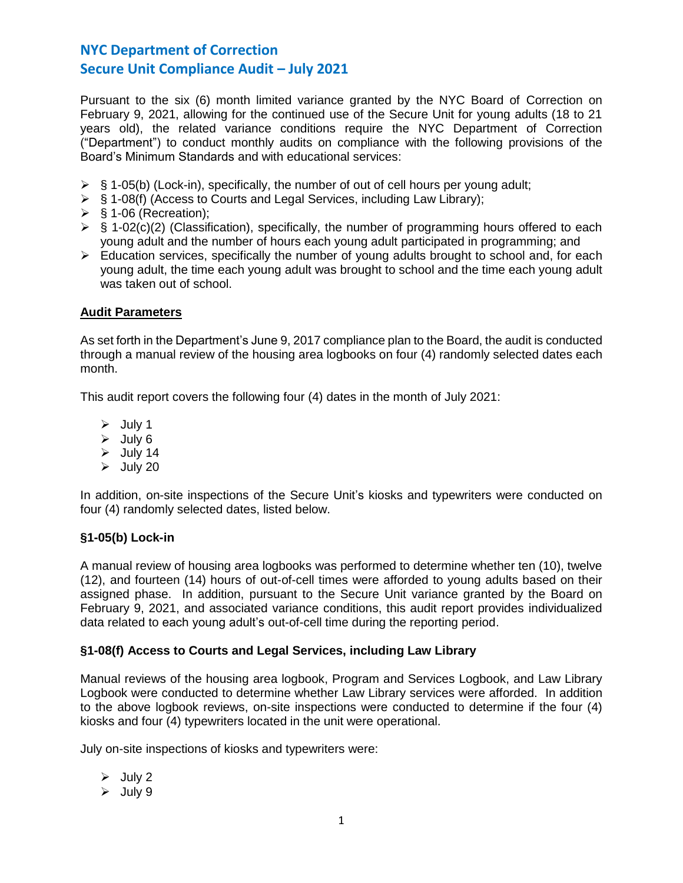Pursuant to the six (6) month limited variance granted by the NYC Board of Correction on February 9, 2021, allowing for the continued use of the Secure Unit for young adults (18 to 21 years old), the related variance conditions require the NYC Department of Correction ("Department") to conduct monthly audits on compliance with the following provisions of the Board's Minimum Standards and with educational services:

- $\triangleright$  § 1-05(b) (Lock-in), specifically, the number of out of cell hours per young adult;
- ➢ § 1-08(f) (Access to Courts and Legal Services, including Law Library);
- $\triangleright$  § 1-06 (Recreation);
- $\triangleright$  § 1-02(c)(2) (Classification), specifically, the number of programming hours offered to each young adult and the number of hours each young adult participated in programming; and
- $\triangleright$  Education services, specifically the number of young adults brought to school and, for each young adult, the time each young adult was brought to school and the time each young adult was taken out of school.

## **Audit Parameters**

As set forth in the Department's June 9, 2017 compliance plan to the Board, the audit is conducted through a manual review of the housing area logbooks on four (4) randomly selected dates each month.

This audit report covers the following four (4) dates in the month of July 2021:

- ➢ July 1
- ➢ July 6
- $\triangleright$  July 14
- $\triangleright$  July 20

In addition, on-site inspections of the Secure Unit's kiosks and typewriters were conducted on four (4) randomly selected dates, listed below.

## **§1-05(b) Lock-in**

A manual review of housing area logbooks was performed to determine whether ten (10), twelve (12), and fourteen (14) hours of out-of-cell times were afforded to young adults based on their assigned phase. In addition, pursuant to the Secure Unit variance granted by the Board on February 9, 2021, and associated variance conditions, this audit report provides individualized data related to each young adult's out-of-cell time during the reporting period.

## **§1-08(f) Access to Courts and Legal Services, including Law Library**

Manual reviews of the housing area logbook, Program and Services Logbook, and Law Library Logbook were conducted to determine whether Law Library services were afforded. In addition to the above logbook reviews, on-site inspections were conducted to determine if the four (4) kiosks and four (4) typewriters located in the unit were operational.

July on-site inspections of kiosks and typewriters were:

 $\triangleright$  July 2

 $\geq$  July 9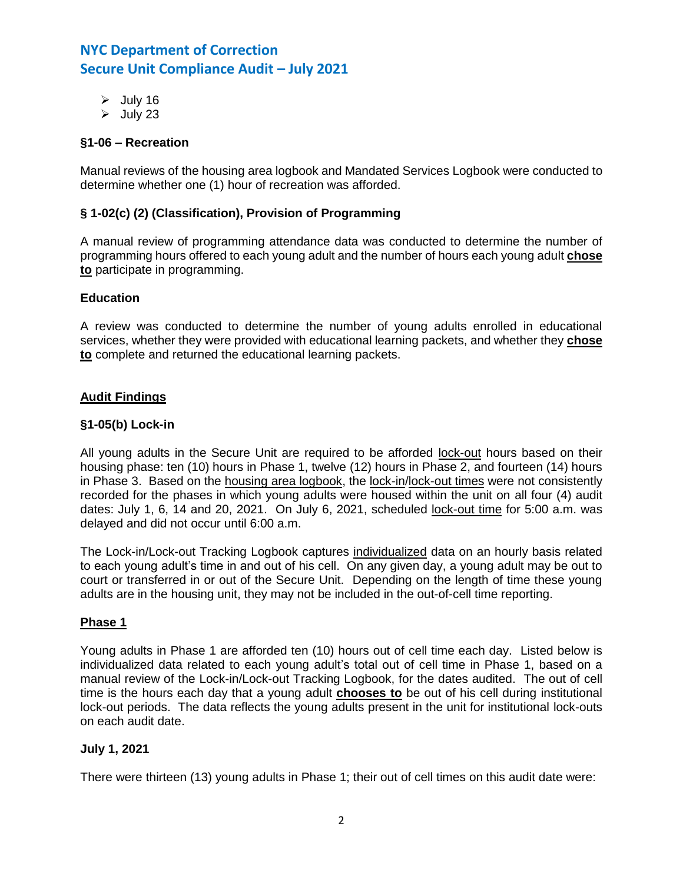- $\geq$  July 16
- $\triangleright$  July 23

## **§1-06 – Recreation**

Manual reviews of the housing area logbook and Mandated Services Logbook were conducted to determine whether one (1) hour of recreation was afforded.

### **§ 1-02(c) (2) (Classification), Provision of Programming**

A manual review of programming attendance data was conducted to determine the number of programming hours offered to each young adult and the number of hours each young adult **chose to** participate in programming.

### **Education**

A review was conducted to determine the number of young adults enrolled in educational services, whether they were provided with educational learning packets, and whether they **chose to** complete and returned the educational learning packets.

### **Audit Findings**

### **§1-05(b) Lock-in**

All young adults in the Secure Unit are required to be afforded lock-out hours based on their housing phase: ten (10) hours in Phase 1, twelve (12) hours in Phase 2, and fourteen (14) hours in Phase 3. Based on the housing area logbook, the lock-in/lock-out times were not consistently recorded for the phases in which young adults were housed within the unit on all four (4) audit dates: July 1, 6, 14 and 20, 2021. On July 6, 2021, scheduled lock-out time for 5:00 a.m. was delayed and did not occur until 6:00 a.m.

The Lock-in/Lock-out Tracking Logbook captures individualized data on an hourly basis related to each young adult's time in and out of his cell. On any given day, a young adult may be out to court or transferred in or out of the Secure Unit. Depending on the length of time these young adults are in the housing unit, they may not be included in the out-of-cell time reporting.

### **Phase 1**

Young adults in Phase 1 are afforded ten (10) hours out of cell time each day. Listed below is individualized data related to each young adult's total out of cell time in Phase 1, based on a manual review of the Lock-in/Lock-out Tracking Logbook, for the dates audited. The out of cell time is the hours each day that a young adult **chooses to** be out of his cell during institutional lock-out periods. The data reflects the young adults present in the unit for institutional lock-outs on each audit date.

### **July 1, 2021**

There were thirteen (13) young adults in Phase 1; their out of cell times on this audit date were: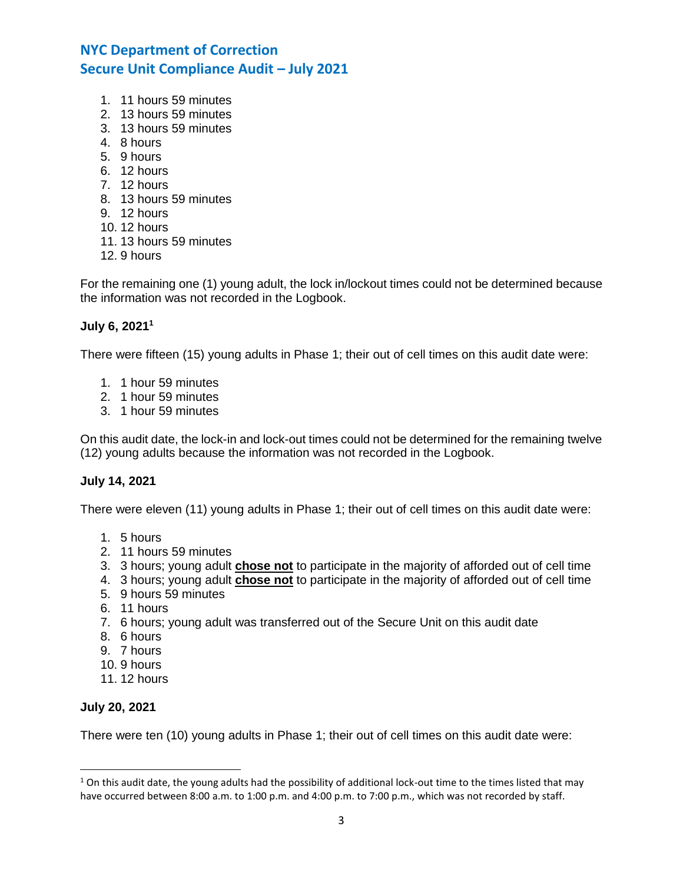- 1. 11 hours 59 minutes
- 2. 13 hours 59 minutes
- 3. 13 hours 59 minutes
- 4. 8 hours
- 5. 9 hours
- 6. 12 hours
- 7. 12 hours
- 8. 13 hours 59 minutes
- 9. 12 hours
- 10. 12 hours
- 11. 13 hours 59 minutes
- 12. 9 hours

For the remaining one (1) young adult, the lock in/lockout times could not be determined because the information was not recorded in the Logbook.

## **July 6, 2021 1**

There were fifteen (15) young adults in Phase 1; their out of cell times on this audit date were:

- 1. 1 hour 59 minutes
- 2. 1 hour 59 minutes
- 3. 1 hour 59 minutes

On this audit date, the lock-in and lock-out times could not be determined for the remaining twelve (12) young adults because the information was not recorded in the Logbook.

## **July 14, 2021**

There were eleven (11) young adults in Phase 1; their out of cell times on this audit date were:

- 1. 5 hours
- 2. 11 hours 59 minutes
- 3. 3 hours; young adult **chose not** to participate in the majority of afforded out of cell time
- 4. 3 hours; young adult **chose not** to participate in the majority of afforded out of cell time
- 5. 9 hours 59 minutes
- 6. 11 hours
- 7. 6 hours; young adult was transferred out of the Secure Unit on this audit date
- 8. 6 hours
- 9. 7 hours
- 10. 9 hours
- 11. 12 hours

## **July 20, 2021**

 $\overline{\phantom{a}}$ 

There were ten (10) young adults in Phase 1; their out of cell times on this audit date were:

 $1$  On this audit date, the young adults had the possibility of additional lock-out time to the times listed that may have occurred between 8:00 a.m. to 1:00 p.m. and 4:00 p.m. to 7:00 p.m., which was not recorded by staff.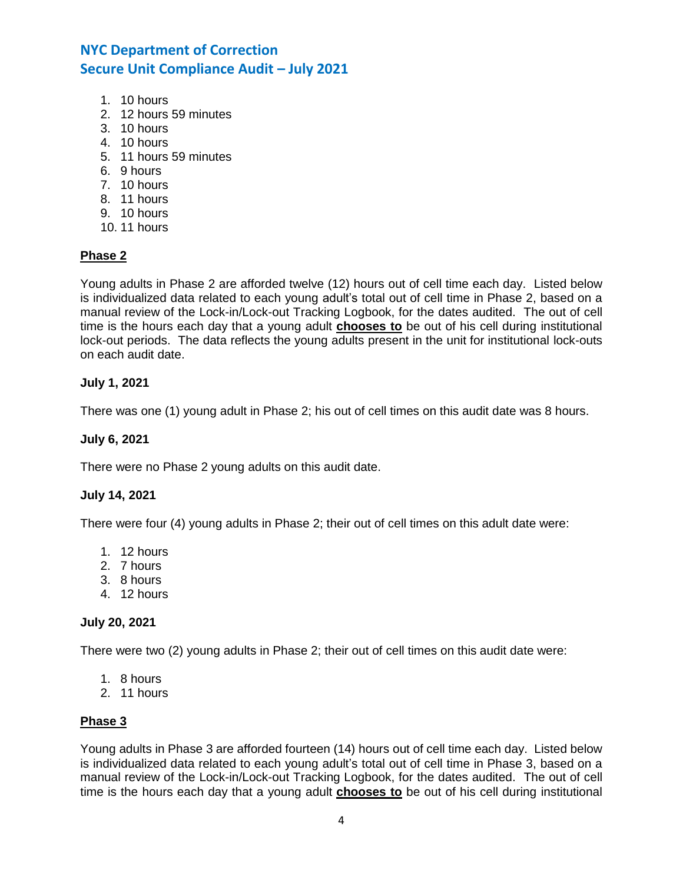- 1. 10 hours
- 2. 12 hours 59 minutes
- 3. 10 hours
- 4. 10 hours
- 5. 11 hours 59 minutes
- 6. 9 hours
- 7. 10 hours
- 8. 11 hours
- 9. 10 hours
- 10. 11 hours

## **Phase 2**

Young adults in Phase 2 are afforded twelve (12) hours out of cell time each day. Listed below is individualized data related to each young adult's total out of cell time in Phase 2, based on a manual review of the Lock-in/Lock-out Tracking Logbook, for the dates audited. The out of cell time is the hours each day that a young adult **chooses to** be out of his cell during institutional lock-out periods. The data reflects the young adults present in the unit for institutional lock-outs on each audit date.

## **July 1, 2021**

There was one (1) young adult in Phase 2; his out of cell times on this audit date was 8 hours.

### **July 6, 2021**

There were no Phase 2 young adults on this audit date.

## **July 14, 2021**

There were four (4) young adults in Phase 2; their out of cell times on this adult date were:

- 1. 12 hours
- 2. 7 hours
- 3. 8 hours
- 4. 12 hours

### **July 20, 2021**

There were two (2) young adults in Phase 2; their out of cell times on this audit date were:

- 1. 8 hours
- 2. 11 hours

## **Phase 3**

Young adults in Phase 3 are afforded fourteen (14) hours out of cell time each day. Listed below is individualized data related to each young adult's total out of cell time in Phase 3, based on a manual review of the Lock-in/Lock-out Tracking Logbook, for the dates audited. The out of cell time is the hours each day that a young adult **chooses to** be out of his cell during institutional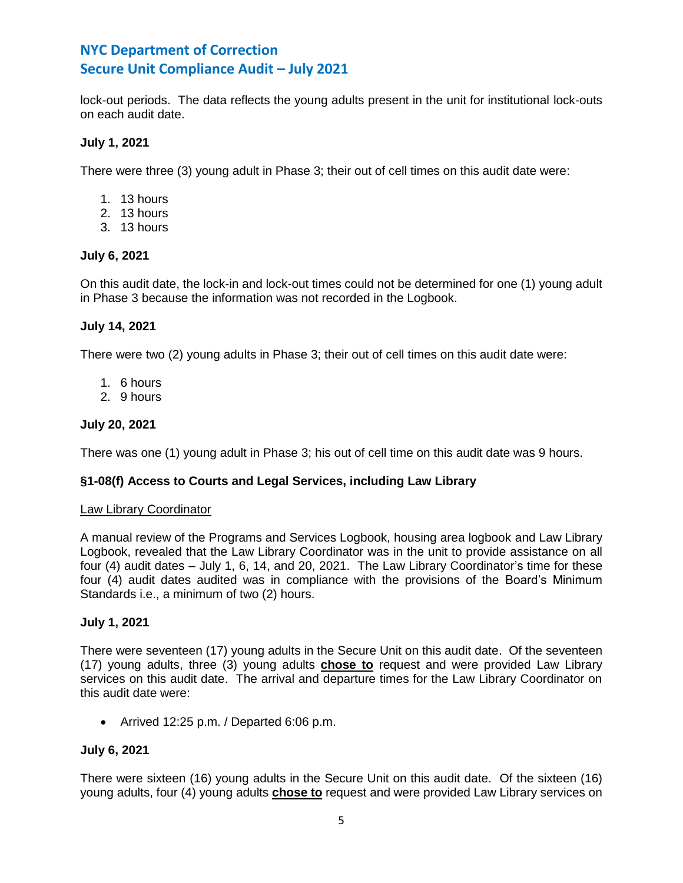lock-out periods. The data reflects the young adults present in the unit for institutional lock-outs on each audit date.

### **July 1, 2021**

There were three (3) young adult in Phase 3; their out of cell times on this audit date were:

- 1. 13 hours
- 2. 13 hours
- 3. 13 hours

### **July 6, 2021**

On this audit date, the lock-in and lock-out times could not be determined for one (1) young adult in Phase 3 because the information was not recorded in the Logbook.

### **July 14, 2021**

There were two (2) young adults in Phase 3; their out of cell times on this audit date were:

- 1. 6 hours
- 2. 9 hours

### **July 20, 2021**

There was one (1) young adult in Phase 3; his out of cell time on this audit date was 9 hours.

## **§1-08(f) Access to Courts and Legal Services, including Law Library**

### Law Library Coordinator

A manual review of the Programs and Services Logbook, housing area logbook and Law Library Logbook, revealed that the Law Library Coordinator was in the unit to provide assistance on all four (4) audit dates – July 1, 6, 14, and 20, 2021. The Law Library Coordinator's time for these four (4) audit dates audited was in compliance with the provisions of the Board's Minimum Standards i.e., a minimum of two (2) hours.

### **July 1, 2021**

There were seventeen (17) young adults in the Secure Unit on this audit date. Of the seventeen (17) young adults, three (3) young adults **chose to** request and were provided Law Library services on this audit date. The arrival and departure times for the Law Library Coordinator on this audit date were:

• Arrived 12:25 p.m. / Departed 6:06 p.m.

### **July 6, 2021**

There were sixteen (16) young adults in the Secure Unit on this audit date. Of the sixteen (16) young adults, four (4) young adults **chose to** request and were provided Law Library services on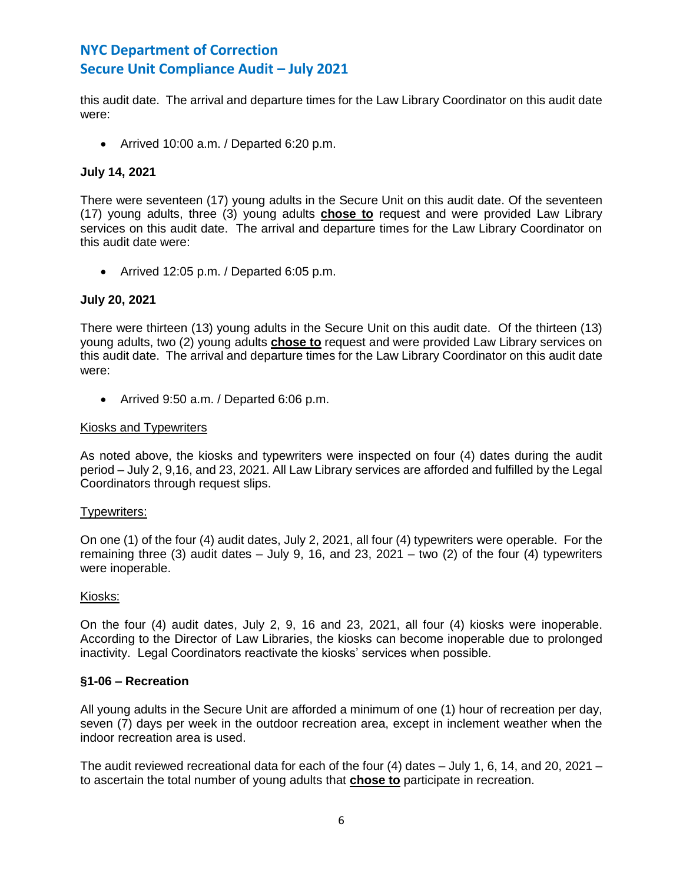this audit date. The arrival and departure times for the Law Library Coordinator on this audit date were:

• Arrived 10:00 a.m. / Departed 6:20 p.m.

## **July 14, 2021**

There were seventeen (17) young adults in the Secure Unit on this audit date. Of the seventeen (17) young adults, three (3) young adults **chose to** request and were provided Law Library services on this audit date. The arrival and departure times for the Law Library Coordinator on this audit date were:

• Arrived 12:05 p.m. / Departed 6:05 p.m.

### **July 20, 2021**

There were thirteen (13) young adults in the Secure Unit on this audit date. Of the thirteen (13) young adults, two (2) young adults **chose to** request and were provided Law Library services on this audit date. The arrival and departure times for the Law Library Coordinator on this audit date were:

• Arrived 9:50 a.m. / Departed 6:06 p.m.

### Kiosks and Typewriters

As noted above, the kiosks and typewriters were inspected on four (4) dates during the audit period – July 2, 9,16, and 23, 2021. All Law Library services are afforded and fulfilled by the Legal Coordinators through request slips.

### Typewriters:

On one (1) of the four (4) audit dates, July 2, 2021, all four (4) typewriters were operable. For the remaining three (3) audit dates  $-$  July 9, 16, and 23, 2021  $-$  two (2) of the four (4) typewriters were inoperable.

### Kiosks:

On the four (4) audit dates, July 2, 9, 16 and 23, 2021, all four (4) kiosks were inoperable. According to the Director of Law Libraries, the kiosks can become inoperable due to prolonged inactivity. Legal Coordinators reactivate the kiosks' services when possible.

### **§1-06 – Recreation**

All young adults in the Secure Unit are afforded a minimum of one (1) hour of recreation per day, seven (7) days per week in the outdoor recreation area, except in inclement weather when the indoor recreation area is used.

The audit reviewed recreational data for each of the four (4) dates – July 1, 6, 14, and 20, 2021 – to ascertain the total number of young adults that **chose to** participate in recreation.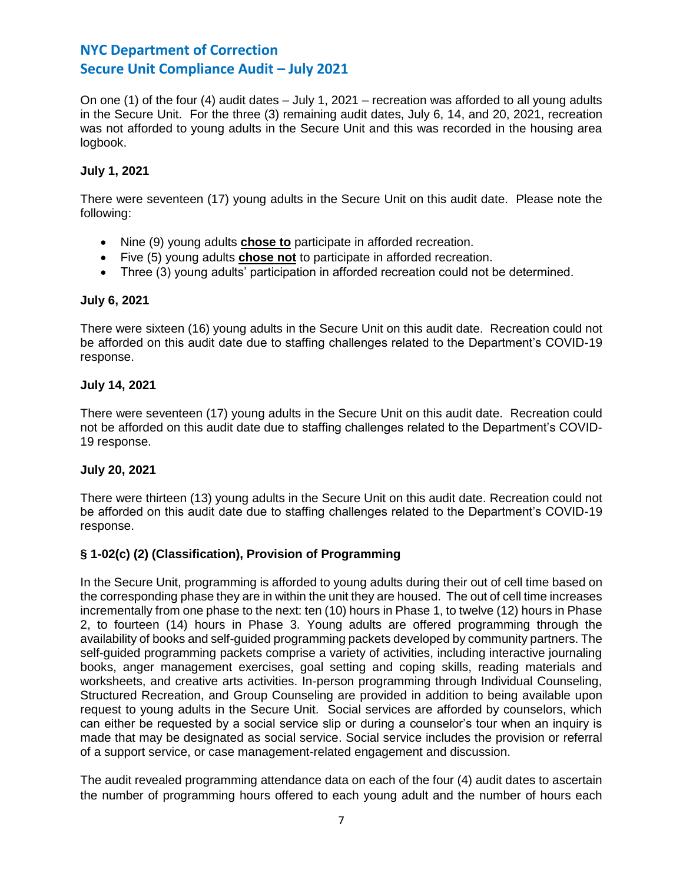On one (1) of the four (4) audit dates – July 1, 2021 – recreation was afforded to all young adults in the Secure Unit. For the three (3) remaining audit dates, July 6, 14, and 20, 2021, recreation was not afforded to young adults in the Secure Unit and this was recorded in the housing area logbook.

## **July 1, 2021**

There were seventeen (17) young adults in the Secure Unit on this audit date. Please note the following:

- Nine (9) young adults **chose to** participate in afforded recreation.
- Five (5) young adults **chose not** to participate in afforded recreation.
- Three (3) young adults' participation in afforded recreation could not be determined.

## **July 6, 2021**

There were sixteen (16) young adults in the Secure Unit on this audit date. Recreation could not be afforded on this audit date due to staffing challenges related to the Department's COVID-19 response.

## **July 14, 2021**

There were seventeen (17) young adults in the Secure Unit on this audit date. Recreation could not be afforded on this audit date due to staffing challenges related to the Department's COVID-19 response.

## **July 20, 2021**

There were thirteen (13) young adults in the Secure Unit on this audit date. Recreation could not be afforded on this audit date due to staffing challenges related to the Department's COVID-19 response.

# **§ 1-02(c) (2) (Classification), Provision of Programming**

In the Secure Unit, programming is afforded to young adults during their out of cell time based on the corresponding phase they are in within the unit they are housed. The out of cell time increases incrementally from one phase to the next: ten (10) hours in Phase 1, to twelve (12) hours in Phase 2, to fourteen (14) hours in Phase 3. Young adults are offered programming through the availability of books and self-guided programming packets developed by community partners. The self-guided programming packets comprise a variety of activities, including interactive journaling books, anger management exercises, goal setting and coping skills, reading materials and worksheets, and creative arts activities. In-person programming through Individual Counseling, Structured Recreation, and Group Counseling are provided in addition to being available upon request to young adults in the Secure Unit. Social services are afforded by counselors, which can either be requested by a social service slip or during a counselor's tour when an inquiry is made that may be designated as social service. Social service includes the provision or referral of a support service, or case management-related engagement and discussion.

The audit revealed programming attendance data on each of the four (4) audit dates to ascertain the number of programming hours offered to each young adult and the number of hours each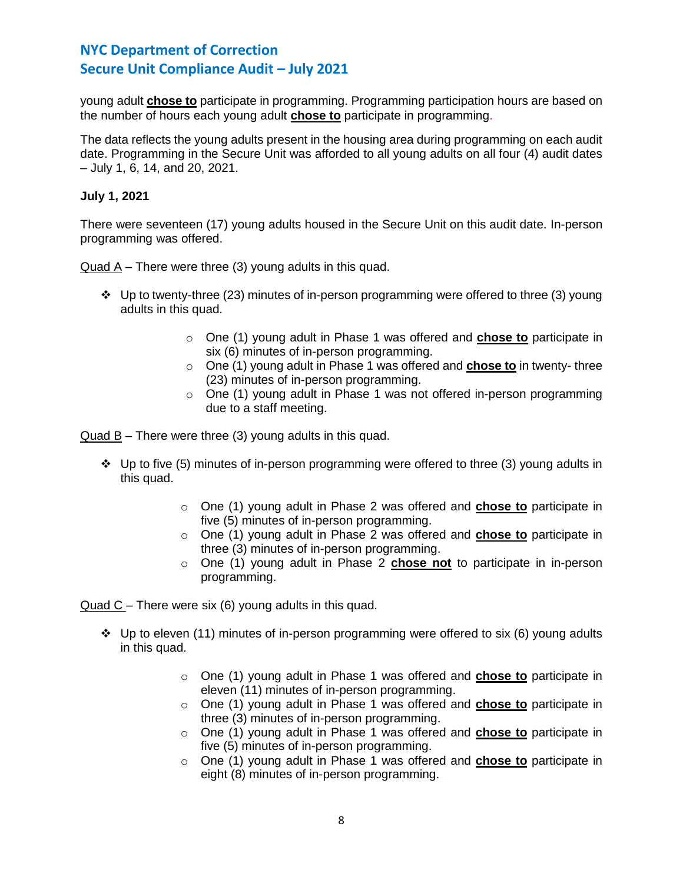young adult **chose to** participate in programming. Programming participation hours are based on the number of hours each young adult **chose to** participate in programming.

The data reflects the young adults present in the housing area during programming on each audit date. Programming in the Secure Unit was afforded to all young adults on all four (4) audit dates – July 1, 6, 14, and 20, 2021.

## **July 1, 2021**

There were seventeen (17) young adults housed in the Secure Unit on this audit date. In-person programming was offered.

Quad A – There were three (3) young adults in this quad.

- ❖ Up to twenty-three (23) minutes of in-person programming were offered to three (3) young adults in this quad.
	- o One (1) young adult in Phase 1 was offered and **chose to** participate in six (6) minutes of in-person programming.
	- o One (1) young adult in Phase 1 was offered and **chose to** in twenty- three (23) minutes of in-person programming.
	- o One (1) young adult in Phase 1 was not offered in-person programming due to a staff meeting.

Quad B – There were three (3) young adults in this quad.

- $\cdot \cdot$  Up to five (5) minutes of in-person programming were offered to three (3) young adults in this quad.
	- o One (1) young adult in Phase 2 was offered and **chose to** participate in five (5) minutes of in-person programming.
	- o One (1) young adult in Phase 2 was offered and **chose to** participate in three (3) minutes of in-person programming.
	- o One (1) young adult in Phase 2 **chose not** to participate in in-person programming.

Quad C – There were six (6) young adults in this quad.

- ❖ Up to eleven (11) minutes of in-person programming were offered to six (6) young adults in this quad.
	- o One (1) young adult in Phase 1 was offered and **chose to** participate in eleven (11) minutes of in-person programming.
	- o One (1) young adult in Phase 1 was offered and **chose to** participate in three (3) minutes of in-person programming.
	- o One (1) young adult in Phase 1 was offered and **chose to** participate in five (5) minutes of in-person programming.
	- o One (1) young adult in Phase 1 was offered and **chose to** participate in eight (8) minutes of in-person programming.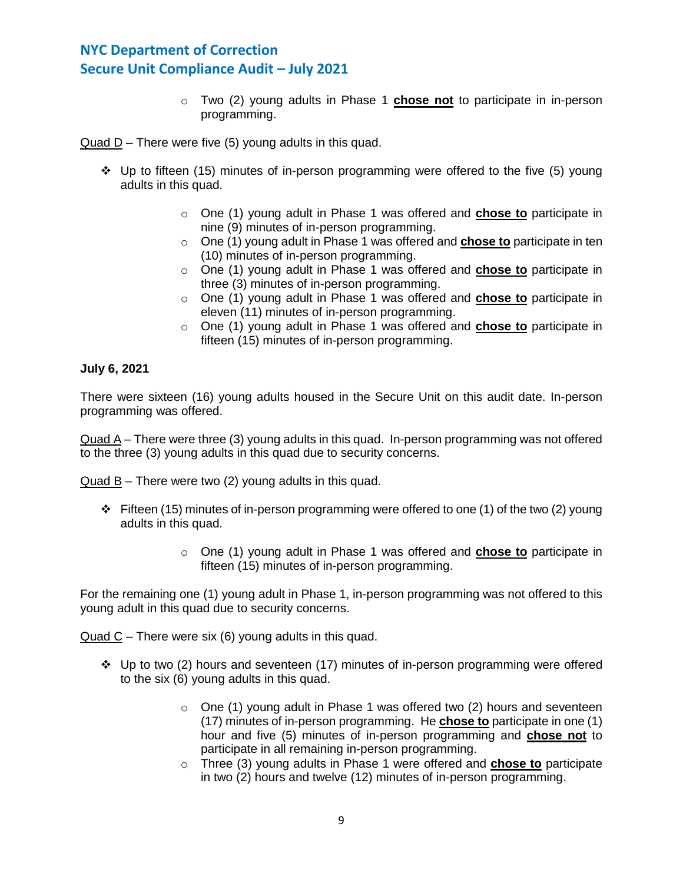o Two (2) young adults in Phase 1 **chose not** to participate in in-person programming.

Quad D – There were five (5) young adults in this quad.

- ❖ Up to fifteen (15) minutes of in-person programming were offered to the five (5) young adults in this quad.
	- o One (1) young adult in Phase 1 was offered and **chose to** participate in nine (9) minutes of in-person programming.
	- o One (1) young adult in Phase 1 was offered and **chose to** participate in ten (10) minutes of in-person programming.
	- o One (1) young adult in Phase 1 was offered and **chose to** participate in three (3) minutes of in-person programming.
	- o One (1) young adult in Phase 1 was offered and **chose to** participate in eleven (11) minutes of in-person programming.
	- o One (1) young adult in Phase 1 was offered and **chose to** participate in fifteen (15) minutes of in-person programming.

### **July 6, 2021**

There were sixteen (16) young adults housed in the Secure Unit on this audit date. In-person programming was offered.

Quad A – There were three (3) young adults in this quad. In-person programming was not offered to the three (3) young adults in this quad due to security concerns.

Quad B – There were two (2) young adults in this quad.

- $\div$  Fifteen (15) minutes of in-person programming were offered to one (1) of the two (2) young adults in this quad.
	- o One (1) young adult in Phase 1 was offered and **chose to** participate in fifteen (15) minutes of in-person programming.

For the remaining one (1) young adult in Phase 1, in-person programming was not offered to this young adult in this quad due to security concerns.

Quad C – There were six (6) young adults in this quad.

- $\div$  Up to two (2) hours and seventeen (17) minutes of in-person programming were offered to the six (6) young adults in this quad.
	- $\circ$  One (1) young adult in Phase 1 was offered two (2) hours and seventeen (17) minutes of in-person programming. He **chose to** participate in one (1) hour and five (5) minutes of in-person programming and **chose not** to participate in all remaining in-person programming.
	- o Three (3) young adults in Phase 1 were offered and **chose to** participate in two (2) hours and twelve (12) minutes of in-person programming.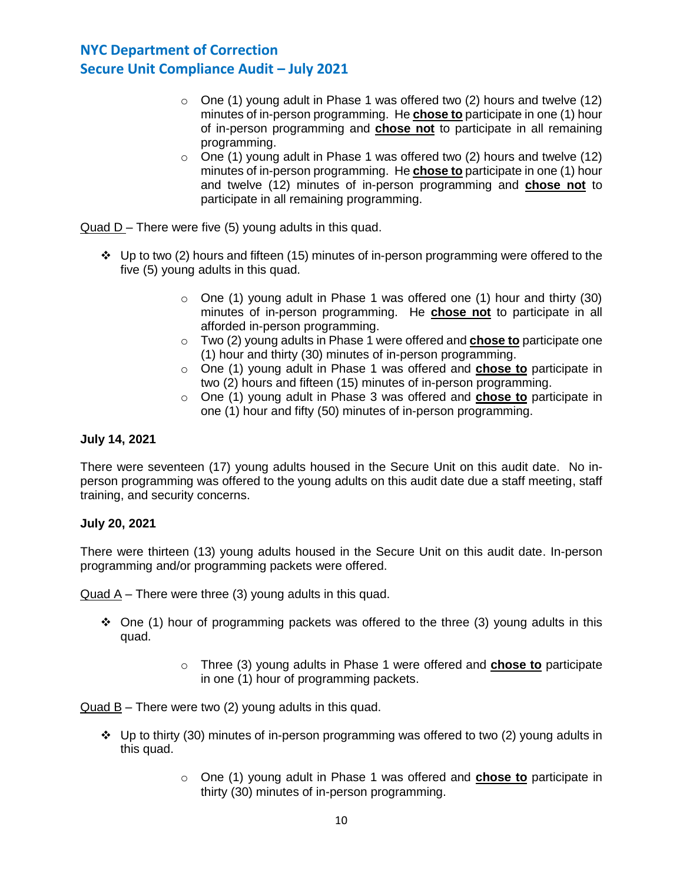- $\circ$  One (1) young adult in Phase 1 was offered two (2) hours and twelve (12) minutes of in-person programming. He **chose to** participate in one (1) hour of in-person programming and **chose not** to participate in all remaining programming.
- $\circ$  One (1) young adult in Phase 1 was offered two (2) hours and twelve (12) minutes of in-person programming. He **chose to** participate in one (1) hour and twelve (12) minutes of in-person programming and **chose not** to participate in all remaining programming.

Quad D – There were five (5) young adults in this quad.

- $\dots$  Up to two (2) hours and fifteen (15) minutes of in-person programming were offered to the five (5) young adults in this quad.
	- $\circ$  One (1) young adult in Phase 1 was offered one (1) hour and thirty (30) minutes of in-person programming. He **chose not** to participate in all afforded in-person programming.
	- o Two (2) young adults in Phase 1 were offered and **chose to** participate one (1) hour and thirty (30) minutes of in-person programming.
	- o One (1) young adult in Phase 1 was offered and **chose to** participate in two (2) hours and fifteen (15) minutes of in-person programming.
	- o One (1) young adult in Phase 3 was offered and **chose to** participate in one (1) hour and fifty (50) minutes of in-person programming.

## **July 14, 2021**

There were seventeen (17) young adults housed in the Secure Unit on this audit date. No inperson programming was offered to the young adults on this audit date due a staff meeting, staff training, and security concerns.

### **July 20, 2021**

There were thirteen (13) young adults housed in the Secure Unit on this audit date. In-person programming and/or programming packets were offered.

Quad A – There were three (3) young adults in this quad.

- $\div$  One (1) hour of programming packets was offered to the three (3) young adults in this quad.
	- o Three (3) young adults in Phase 1 were offered and **chose to** participate in one (1) hour of programming packets.

Quad B – There were two (2) young adults in this quad.

- ❖ Up to thirty (30) minutes of in-person programming was offered to two (2) young adults in this quad.
	- o One (1) young adult in Phase 1 was offered and **chose to** participate in thirty (30) minutes of in-person programming.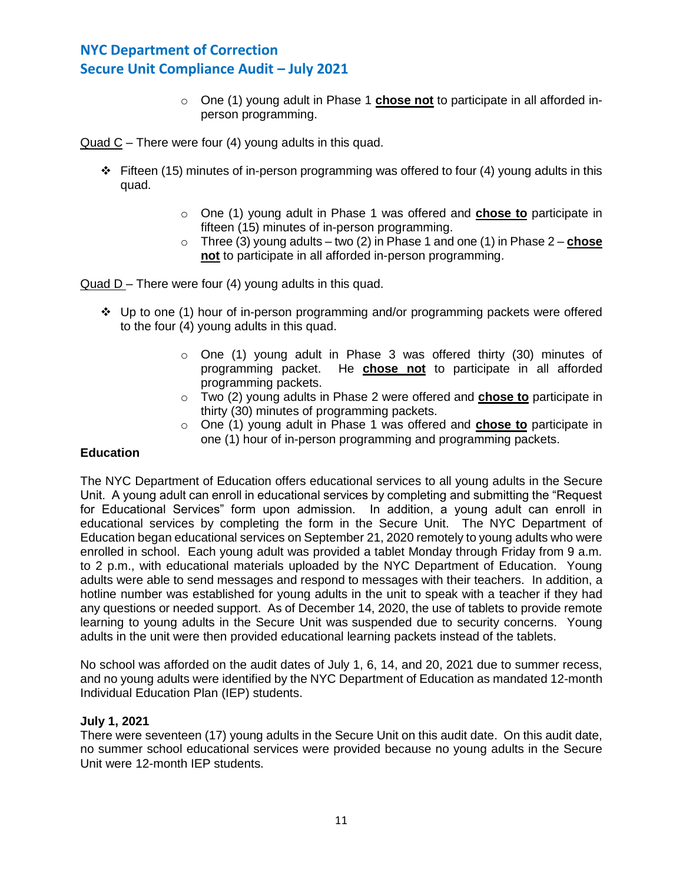o One (1) young adult in Phase 1 **chose not** to participate in all afforded inperson programming.

Quad C – There were four (4) young adults in this quad.

- ❖ Fifteen (15) minutes of in-person programming was offered to four (4) young adults in this quad.
	- o One (1) young adult in Phase 1 was offered and **chose to** participate in fifteen (15) minutes of in-person programming.
	- $\circ$  Three (3) young adults two (2) in Phase 1 and one (1) in Phase 2 **chose not** to participate in all afforded in-person programming.

Quad D – There were four (4) young adults in this quad.

- ❖ Up to one (1) hour of in-person programming and/or programming packets were offered to the four (4) young adults in this quad.
	- o One (1) young adult in Phase 3 was offered thirty (30) minutes of programming packet. He **chose not** to participate in all afforded programming packets.
	- o Two (2) young adults in Phase 2 were offered and **chose to** participate in thirty (30) minutes of programming packets.
	- o One (1) young adult in Phase 1 was offered and **chose to** participate in one (1) hour of in-person programming and programming packets.

## **Education**

The NYC Department of Education offers educational services to all young adults in the Secure Unit. A young adult can enroll in educational services by completing and submitting the "Request for Educational Services" form upon admission. In addition, a young adult can enroll in educational services by completing the form in the Secure Unit. The NYC Department of Education began educational services on September 21, 2020 remotely to young adults who were enrolled in school. Each young adult was provided a tablet Monday through Friday from 9 a.m. to 2 p.m., with educational materials uploaded by the NYC Department of Education. Young adults were able to send messages and respond to messages with their teachers. In addition, a hotline number was established for young adults in the unit to speak with a teacher if they had any questions or needed support. As of December 14, 2020, the use of tablets to provide remote learning to young adults in the Secure Unit was suspended due to security concerns. Young adults in the unit were then provided educational learning packets instead of the tablets.

No school was afforded on the audit dates of July 1, 6, 14, and 20, 2021 due to summer recess, and no young adults were identified by the NYC Department of Education as mandated 12-month Individual Education Plan (IEP) students.

### **July 1, 2021**

There were seventeen (17) young adults in the Secure Unit on this audit date. On this audit date, no summer school educational services were provided because no young adults in the Secure Unit were 12-month IEP students.